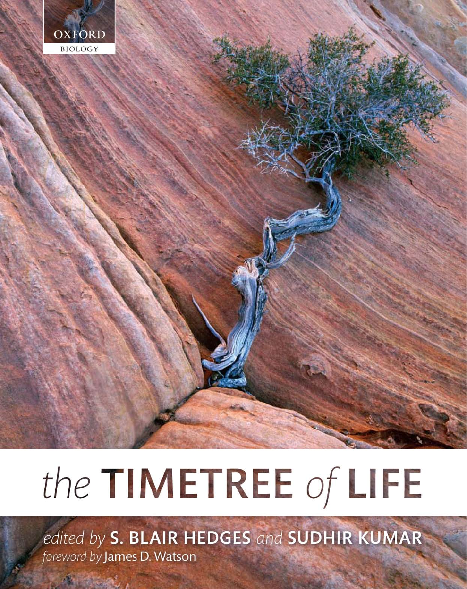

# the TIMETREE of LIFE

edited by S. BLAIR HEDGES and SUDHIR KUMAR foreword by James D. Watson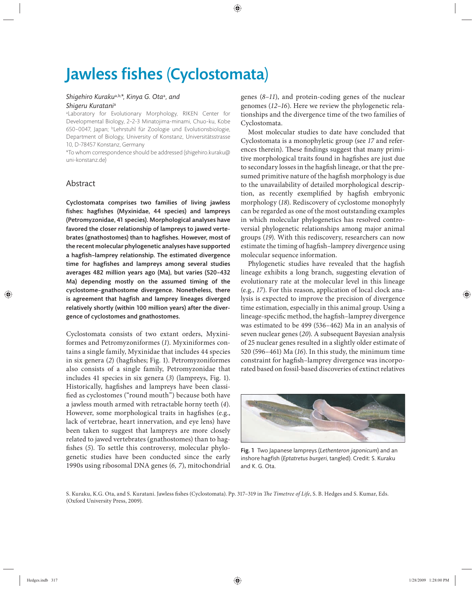## Jawless fishes (Cyclostomata)

#### *Shigehiro Kuraku*a,b,*\*, Kinya G. Ota*<sup>a</sup> *, and Shigeru Kuratani*<sup>a</sup>

a Laboratory for Evolutionary Morphology, RIKEN Center for Developmental Biology, 2–2-3 Minatojima-minami, Chuo-ku, Kobe 650–0047, Japan; bLehrstuhl für Zoologie und Evolutionsbiologie, Department of Biology, University of Konstanz, Universitätsstrasse 10, D-78457 Konstanz, Germany

\*To whom correspondence should be addressed (shigehiro.kuraku@ uni-konstanz.de)

### Abstract

Cyclostomata comprises two families of living jawless fishes: hagfishes (Myxinidae, 44 species) and lampreys (Petromyzonidae, 41 species). Morphological analyses have favored the closer relationship of lampreys to jawed vertebrates (gnathostomes) than to hagfishes. However, most of the recent molecular phylogenetic analyses have supported a hagfish-lamprey relationship. The estimated divergence time for hagfishes and lampreys among several studies averages 482 million years ago (Ma), but varies (520-432 Ma) depending mostly on the assumed timing of the cyclostome–gnathostome divergence. Nonetheless, there is agreement that hagfish and lamprey lineages diverged relatively shortly (within 100 million years) after the divergence of cyclostomes and gnathostomes.

Cyclostomata consists of two extant orders, Myxiniformes and Petromyzoniformes (*1*). Myxiniformes contains a single family, Myxinidae that includes 44 species in six genera (2) (hagfishes; Fig. 1). Petromyzoniformes also consists of a single family, Petromyzonidae that includes 41 species in six genera (*3*) (lampreys, Fig. 1). Historically, hagfishes and lampreys have been classified as cyclostomes ("round mouth") because both have a jawless mouth armed with retractable horny teeth (*4*). However, some morphological traits in hagfishes (e.g., lack of vertebrae, heart innervation, and eye lens) have been taken to suggest that lampreys are more closely related to jawed vertebrates (gnathostomes) than to hagfishes (5). To settle this controversy, molecular phylogenetic studies have been conducted since the early 1990s using ribosomal DNA genes (*6, 7*), mitochondrial

genes  $(8-11)$ , and protein-coding genes of the nuclear genomes (*12–16*). Here we review the phylogenetic relationships and the divergence time of the two families of Cyclostomata.

Most molecular studies to date have concluded that Cyclostomata is a monophyletic group (see *17* and references therein). These findings suggest that many primitive morphological traits found in hagfishes are just due to secondary losses in the hagfish lineage, or that the presumed primitive nature of the hagfish morphology is due to the unavailability of detailed morphological description, as recently exemplified by hagfish embryonic morphology (*18*). Rediscovery of cyclostome monophyly can be regarded as one of the most outstanding examples in which molecular phylogenetics has resolved controversial phylogenetic relationships among major animal groups (*19*). With this rediscovery, researchers can now estimate the timing of hagfish-lamprey divergence using molecular sequence information.

Phylogenetic studies have revealed that the hagfish lineage exhibits a long branch, suggesting elevation of evolutionary rate at the molecular level in this lineage (e.g., *17*). For this reason, application of local clock analysis is expected to improve the precision of divergence time estimation, especially in this animal group. Using a lineage-specific method, the hagfish-lamprey divergence was estimated to be 499 (536–462) Ma in an analysis of seven nuclear genes (*20*). A subsequent Bayesian analysis of 25 nuclear genes resulted in a slightly older estimate of 520 (596–461) Ma (*16*). In this study, the minimum time constraint for hagfish-lamprey divergence was incorporated based on fossil-based discoveries of extinct relatives



Fig. 1 Two Japanese lampreys (*Lethenteron japonicum*) and an inshore hagfish (*Eptatretus burgeri*, tangled). Credit: S. Kuraku and K. G. Ota.

S. Kuraku, K.G. Ota, and S. Kuratani. Jawless fishes (Cyclostomata). Pp. 317-319 in *The Timetree of Life*, S. B. Hedges and S. Kumar, Eds. (Oxford University Press, 2009).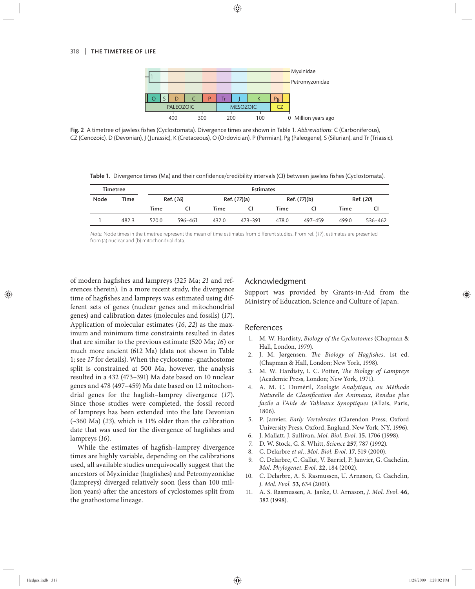

Fig. 2 A timetree of jawless fi shes (Cyclostomata). Divergence times are shown in Table 1. *Abbreviations*: C (Carboniferous), CZ (Cenozoic), D (Devonian), J (Jurassic), K (Cretaceous), O (Ordovician), P (Permian), Pg (Paleogene), S (Silurian), and Tr (Triassic).

Table 1. Divergence times (Ma) and their confidence/credibility intervals (CI) between jawless fishes (Cyclostomata).

| <b>Timetree</b> |       | <b>Estimates</b> |         |              |         |              |         |           |         |
|-----------------|-------|------------------|---------|--------------|---------|--------------|---------|-----------|---------|
| Node            | Time  | Ref. (16)        |         | Ref. (17)(a) |         | Ref. (17)(b) |         | Ref. (20) |         |
|                 |       | Time             |         | Time         | CI.     | Time         |         | Time      | CI      |
|                 | 482.3 | 520.0            | 596-461 | 432.0        | 473-391 | 478.0        | 497–459 | 499.0     | 536-462 |

Note: Node times in the timetree represent the mean of time estimates from different studies. From ref. (17), estimates are presented from (a) nuclear and (b) mitochondrial data.

of modern hagfishes and lampreys (325 Ma; 21 and references therein). In a more recent study, the divergence time of hagfishes and lampreys was estimated using different sets of genes (nuclear genes and mitochondrial genes) and calibration dates (molecules and fossils) (*17*). Application of molecular estimates (*16*, *22*) as the maximum and minimum time constraints resulted in dates that are similar to the previous estimate (520 Ma; *16*) or much more ancient (612 Ma) (data not shown in Table 1; see 17 for details). When the cyclostome-gnathostome split is constrained at 500 Ma, however, the analysis resulted in a 432 (473–391) Ma date based on 10 nuclear genes and 478 (497–459) Ma date based on 12 mitochondrial genes for the hagfish–lamprey divergence (17). Since those studies were completed, the fossil record of lampreys has been extended into the late Devonian (~360 Ma) (*23*), which is 11% older than the calibration date that was used for the divergence of hagfishes and lampreys (*16*).

While the estimates of hagfish-lamprey divergence times are highly variable, depending on the calibrations used, all available studies unequivocally suggest that the ancestors of Myxinidae (hagfishes) and Petromyzonidae (lampreys) diverged relatively soon (less than 100 million years) after the ancestors of cyclostomes split from the gnathostome lineage.

### Acknowledgment

Support was provided by Grants-in-Aid from the Ministry of Education, Science and Culture of Japan.

#### References

- 1. M. W. Hardisty, *Biology of the Cyclostomes* (Chapman & Hall, London, 1979).
- 2. J. M. Jørgensen, *The Biology of Hagfishes*, 1st ed. (Chapman & Hall, London; New York, 1998).
- 3. M. W. Hardisty, I. C. Potter, *The Biology of Lampreys* (Academic Press, London; New York, 1971).
- 4. A. M. C. Duméril, *Zoologie Analytique, ou Méthode Naturelle de Classification des Animaux, Rendue plus facile a l'Aide de Tableaux Synoptiques* (Allais, Paris, 1806).
- 5. P. Janvier, *Early Vertebrates* (Clarendon Press; Oxford University Press, Oxford, England, New York, NY, 1996).
- 6. J. Mallatt, J. Sullivan, *Mol. Biol. Evol.* **15**, 1706 (1998).
- 7. D. W. Stock, G. S. Whitt, *Science* **257**, 787 (1992).
- 8. C. Delarbre *et al.*, *Mol. Biol. Evol.* **17**, 519 (2000).
- 9. C. Delarbre, C. Gallut, V. Barriel, P. Janvier, G. Gachelin, *Mol. Phylogenet. Evol.* **22**, 184 (2002).
- 10. C. Delarbre, A. S. Rasmussen, U. Arnason, G. Gachelin, *J. Mol. Evol.* **53**, 634 (2001).
- 11. A. S. Rasmussen, A. Janke, U. Arnason, *J. Mol. Evol.* **46**, 382 (1998).